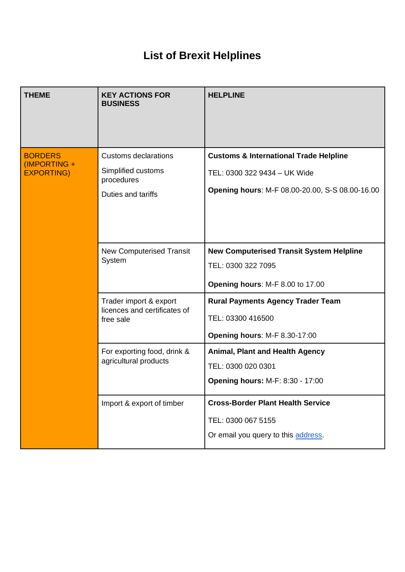## **List of Brexit Helplines**

| <b>THEME</b>                                        | <b>KEY ACTIONS FOR</b><br><b>BUSINESS</b>                                             | <b>HELPLINE</b>                                                                                                                             |
|-----------------------------------------------------|---------------------------------------------------------------------------------------|---------------------------------------------------------------------------------------------------------------------------------------------|
| <b>BORDERS</b><br>(IMPORTING +<br><b>EXPORTING)</b> | <b>Customs declarations</b><br>Simplified customs<br>procedures<br>Duties and tariffs | <b>Customs &amp; International Trade Helpline</b><br>TEL: 0300 322 9434 - UK Wide<br><b>Opening hours: M-F 08.00-20.00, S-S 08.00-16.00</b> |
|                                                     | <b>New Computerised Transit</b><br>System                                             | <b>New Computerised Transit System Helpline</b><br>TEL: 0300 322 7095<br>Opening hours: M-F 8.00 to 17.00                                   |
|                                                     | Trader import & export<br>licences and certificates of<br>free sale                   | <b>Rural Payments Agency Trader Team</b><br>TEL: 03300 416500<br>Opening hours: M-F 8.30-17:00                                              |
|                                                     | For exporting food, drink &<br>agricultural products                                  | <b>Animal, Plant and Health Agency</b><br>TEL: 0300 020 0301<br><b>Opening hours: M-F: 8:30 - 17:00</b>                                     |
|                                                     | Import & export of timber                                                             | <b>Cross-Border Plant Health Service</b><br>TEL: 0300 067 5155<br>Or email you query to this address.                                       |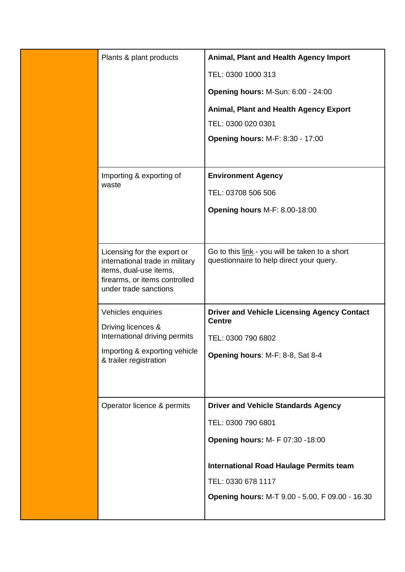| Plants & plant products                                   | Animal, Plant and Health Agency Import                              |
|-----------------------------------------------------------|---------------------------------------------------------------------|
|                                                           | TEL: 0300 1000 313                                                  |
|                                                           | <b>Opening hours: M-Sun: 6:00 - 24:00</b>                           |
|                                                           | Animal, Plant and Health Agency Export                              |
|                                                           | TEL: 0300 020 0301                                                  |
|                                                           | <b>Opening hours: M-F: 8:30 - 17:00</b>                             |
|                                                           |                                                                     |
| Importing & exporting of                                  | <b>Environment Agency</b>                                           |
| waste                                                     | TEL: 03708 506 506                                                  |
|                                                           | Opening hours M-F: 8.00-18:00                                       |
|                                                           |                                                                     |
| Licensing for the export or                               | Go to this link - you will be taken to a short                      |
| international trade in military<br>items, dual-use items, | questionnaire to help direct your query.                            |
| firearms, or items controlled                             |                                                                     |
| under trade sanctions                                     |                                                                     |
| Vehicles enquiries                                        | <b>Driver and Vehicle Licensing Agency Contact</b><br><b>Centre</b> |
| Driving licences &<br>International driving permits       | TEL: 0300 790 6802                                                  |
| Importing & exporting vehicle                             | Opening hours: M-F: 8-8, Sat 8-4                                    |
| & trailer registration                                    |                                                                     |
|                                                           |                                                                     |
| Operator licence & permits                                | <b>Driver and Vehicle Standards Agency</b>                          |
|                                                           | TEL: 0300 790 6801                                                  |
|                                                           | <b>Opening hours: M- F 07:30 -18:00</b>                             |
|                                                           |                                                                     |
|                                                           | International Road Haulage Permits team                             |
|                                                           | TEL: 0330 678 1117                                                  |
|                                                           | Opening hours: M-T 9.00 - 5.00, F 09.00 - 16.30                     |
|                                                           |                                                                     |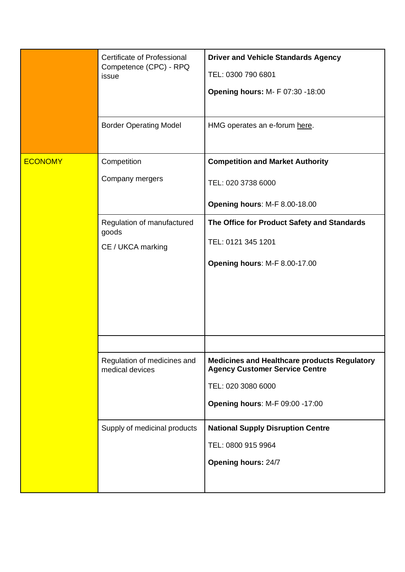|                | Certificate of Professional<br>Competence (CPC) - RPQ<br>issue | <b>Driver and Vehicle Standards Agency</b><br>TEL: 0300 790 6801<br><b>Opening hours: M- F 07:30 -18:00</b>                                                  |
|----------------|----------------------------------------------------------------|--------------------------------------------------------------------------------------------------------------------------------------------------------------|
|                | <b>Border Operating Model</b>                                  | HMG operates an e-forum here.                                                                                                                                |
| <b>ECONOMY</b> | Competition<br>Company mergers                                 | <b>Competition and Market Authority</b><br>TEL: 020 3738 6000<br>Opening hours: M-F 8.00-18.00                                                               |
|                | Regulation of manufactured<br>goods<br>CE / UKCA marking       | The Office for Product Safety and Standards<br>TEL: 0121 345 1201<br>Opening hours: M-F 8.00-17.00                                                           |
|                | Regulation of medicines and<br>medical devices                 | <b>Medicines and Healthcare products Regulatory</b><br><b>Agency Customer Service Centre</b><br>TEL: 020 3080 6000<br><b>Opening hours: M-F 09:00 -17:00</b> |
|                | Supply of medicinal products                                   | <b>National Supply Disruption Centre</b><br>TEL: 0800 915 9964<br><b>Opening hours: 24/7</b>                                                                 |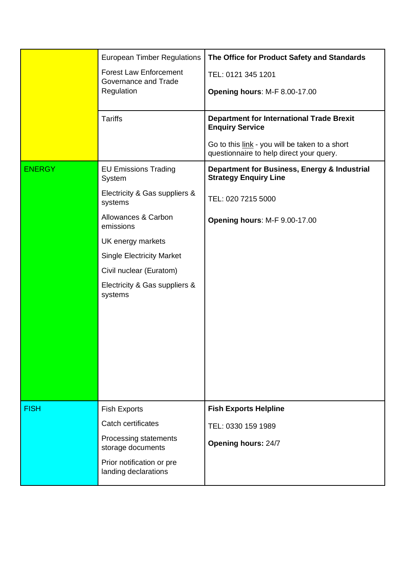|               | <b>European Timber Regulations</b>                    | The Office for Product Safety and Standards                                                |
|---------------|-------------------------------------------------------|--------------------------------------------------------------------------------------------|
|               | <b>Forest Law Enforcement</b><br>Governance and Trade | TEL: 0121 345 1201                                                                         |
|               | Regulation                                            | Opening hours: M-F 8.00-17.00                                                              |
|               | <b>Tariffs</b>                                        | <b>Department for International Trade Brexit</b><br><b>Enquiry Service</b>                 |
|               |                                                       | Go to this link - you will be taken to a short<br>questionnaire to help direct your query. |
| <b>ENERGY</b> | <b>EU Emissions Trading</b><br>System                 | Department for Business, Energy & Industrial<br><b>Strategy Enquiry Line</b>               |
|               | Electricity & Gas suppliers &<br>systems              | TEL: 020 7215 5000                                                                         |
|               | Allowances & Carbon<br>emissions                      | Opening hours: M-F 9.00-17.00                                                              |
|               | UK energy markets                                     |                                                                                            |
|               | <b>Single Electricity Market</b>                      |                                                                                            |
|               | Civil nuclear (Euratom)                               |                                                                                            |
|               | Electricity & Gas suppliers &<br>systems              |                                                                                            |
|               |                                                       |                                                                                            |
| <b>FISH</b>   | <b>Fish Exports</b>                                   | <b>Fish Exports Helpline</b>                                                               |
|               | Catch certificates                                    | TEL: 0330 159 1989                                                                         |
|               | Processing statements<br>storage documents            | <b>Opening hours: 24/7</b>                                                                 |
|               | Prior notification or pre<br>landing declarations     |                                                                                            |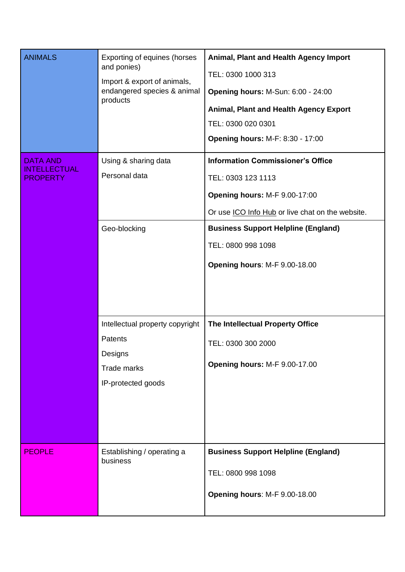| <b>ANIMALS</b>                                            | Exporting of equines (horses<br>and ponies)<br>Import & export of animals,<br>endangered species & animal<br>products | Animal, Plant and Health Agency Import<br>TEL: 0300 1000 313<br><b>Opening hours: M-Sun: 6:00 - 24:00</b><br><b>Animal, Plant and Health Agency Export</b><br>TEL: 0300 020 0301<br><b>Opening hours: M-F: 8:30 - 17:00</b> |
|-----------------------------------------------------------|-----------------------------------------------------------------------------------------------------------------------|-----------------------------------------------------------------------------------------------------------------------------------------------------------------------------------------------------------------------------|
| <b>DATA AND</b><br><b>INTELLECTUAL</b><br><b>PROPERTY</b> | Using & sharing data<br>Personal data                                                                                 | <b>Information Commissioner's Office</b><br>TEL: 0303 123 1113<br>Opening hours: M-F 9.00-17:00<br>Or use ICO Info Hub or live chat on the website.                                                                         |
|                                                           | Geo-blocking                                                                                                          | <b>Business Support Helpline (England)</b><br>TEL: 0800 998 1098<br>Opening hours: M-F 9.00-18.00                                                                                                                           |
|                                                           | Intellectual property copyright<br>Patents<br>Designs<br>Trade marks<br>IP-protected goods                            | The Intellectual Property Office<br>TEL: 0300 300 2000<br>Opening hours: M-F 9.00-17.00                                                                                                                                     |
| <b>PEOPLE</b>                                             | Establishing / operating a<br>business                                                                                | <b>Business Support Helpline (England)</b><br>TEL: 0800 998 1098<br>Opening hours: M-F 9.00-18.00                                                                                                                           |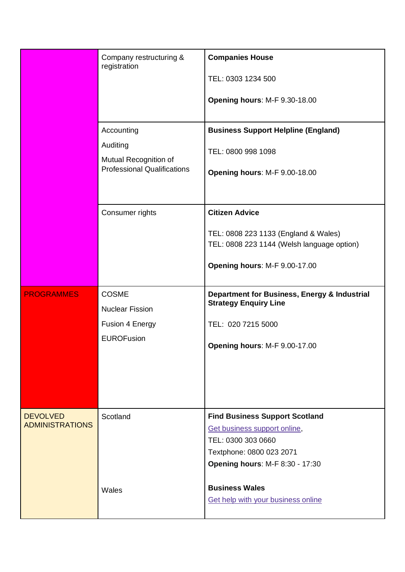|                                           | Company restructuring &<br>registration                                               | <b>Companies House</b><br>TEL: 0303 1234 500<br>Opening hours: M-F 9.30-18.00                                                                                     |
|-------------------------------------------|---------------------------------------------------------------------------------------|-------------------------------------------------------------------------------------------------------------------------------------------------------------------|
|                                           | Accounting<br>Auditing<br>Mutual Recognition of<br><b>Professional Qualifications</b> | <b>Business Support Helpline (England)</b><br>TEL: 0800 998 1098<br>Opening hours: M-F 9.00-18.00                                                                 |
|                                           | Consumer rights                                                                       | <b>Citizen Advice</b><br>TEL: 0808 223 1133 (England & Wales)<br>TEL: 0808 223 1144 (Welsh language option)<br>Opening hours: M-F 9.00-17.00                      |
| <b>PROGRAMMES</b>                         | <b>COSME</b><br><b>Nuclear Fission</b><br>Fusion 4 Energy<br><b>EUROFusion</b>        | Department for Business, Energy & Industrial<br><b>Strategy Enquiry Line</b><br>TEL: 020 7215 5000<br>Opening hours: M-F 9.00-17.00                               |
| <b>DEVOLVED</b><br><b>ADMINISTRATIONS</b> | Scotland                                                                              | <b>Find Business Support Scotland</b><br>Get business support online,<br>TEL: 0300 303 0660<br>Textphone: 0800 023 2071<br><b>Opening hours: M-F 8:30 - 17:30</b> |
|                                           | Wales                                                                                 | <b>Business Wales</b><br>Get help with your business online                                                                                                       |